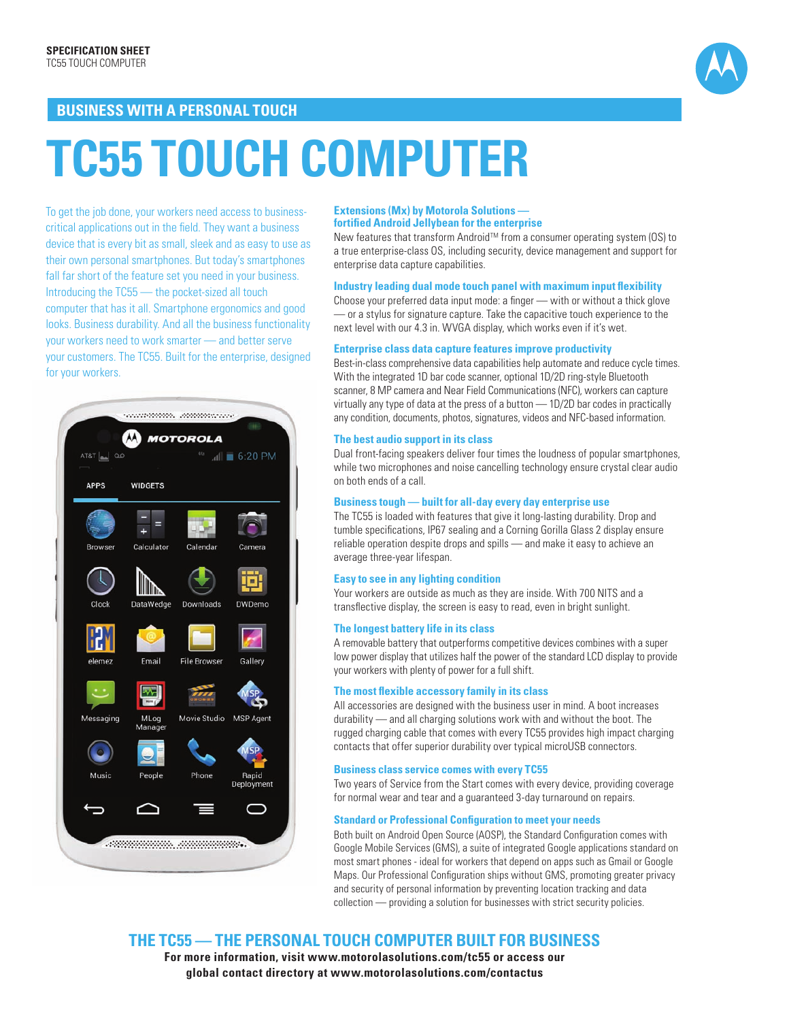

## **BUSINESS WITH A PERSONAL TOUCH**

# **TC55 touch computer**

To get the job done, your workers need access to businesscritical applications out in the field. They want a business device that is every bit as small, sleek and as easy to use as their own personal smartphones. But today's smartphones fall far short of the feature set you need in your business. Introducing the TC55 — the pocket-sized all touch computer that has it all. Smartphone ergonomics and good looks. Business durability. And all the business functionality your workers need to work smarter — and better serve your customers. The TC55. Built for the enterprise, designed for your workers.



#### **Extensions (Mx) by Motorola Solutions fortified Android Jellybean for the enterprise**

New features that transform Android™ from a consumer operating system (OS) to a true enterprise-class OS, including security, device management and support for enterprise data capture capabilities.

#### **Industry leading dual mode touch panel with maximum input flexibility**

Choose your preferred data input mode: a finger — with or without a thick glove — or a stylus for signature capture. Take the capacitive touch experience to the next level with our 4.3 in. WVGA display, which works even if it's wet.

#### **Enterprise class data capture features improve productivity**

Best-in-class comprehensive data capabilities help automate and reduce cycle times. With the integrated 1D bar code scanner, optional 1D/2D ring-style Bluetooth scanner, 8 MP camera and Near Field Communications (NFC), workers can capture virtually any type of data at the press of a button — 1D/2D bar codes in practically any condition, documents, photos, signatures, videos and NFC-based information.

#### **The best audio support in its class**

Dual front-facing speakers deliver four times the loudness of popular smartphones, while two microphones and noise cancelling technology ensure crystal clear audio on both ends of a call.

#### **Business tough — built for all-day every day enterprise use**

The TC55 is loaded with features that give it long-lasting durability. Drop and tumble specifications, IP67 sealing and a Corning Gorilla Glass 2 display ensure reliable operation despite drops and spills — and make it easy to achieve an average three-year lifespan.

#### **Easy to see in any lighting condition**

Your workers are outside as much as they are inside. With 700 NITS and a transflective display, the screen is easy to read, even in bright sunlight.

#### **The longest battery life in its class**

A removable battery that outperforms competitive devices combines with a super low power display that utilizes half the power of the standard LCD display to provide your workers with plenty of power for a full shift.

#### **The most flexible accessory family in its class**

All accessories are designed with the business user in mind. A boot increases durability — and all charging solutions work with and without the boot. The rugged charging cable that comes with every TC55 provides high impact charging contacts that offer superior durability over typical microUSB connectors.

#### **Business class service comes with every TC55**

Two years of Service from the Start comes with every device, providing coverage for normal wear and tear and a guaranteed 3-day turnaround on repairs.

#### **Standard or Professional Configuration to meet your needs**

Both built on Android Open Source (AOSP), the Standard Configuration comes with Google Mobile Services (GMS), a suite of integrated Google applications standard on most smart phones - ideal for workers that depend on apps such as Gmail or Google Maps. Our Professional Configuration ships without GMS, promoting greater privacy and security of personal information by preventing location tracking and data collection — providing a solution for businesses with strict security policies.

**The TC55 — The pe rsonal touch computer built for business**

**For more information, visit www.motorolasolutions.com/tc55 or access our global contact directory at www.motorolasolutions.com/contactus**